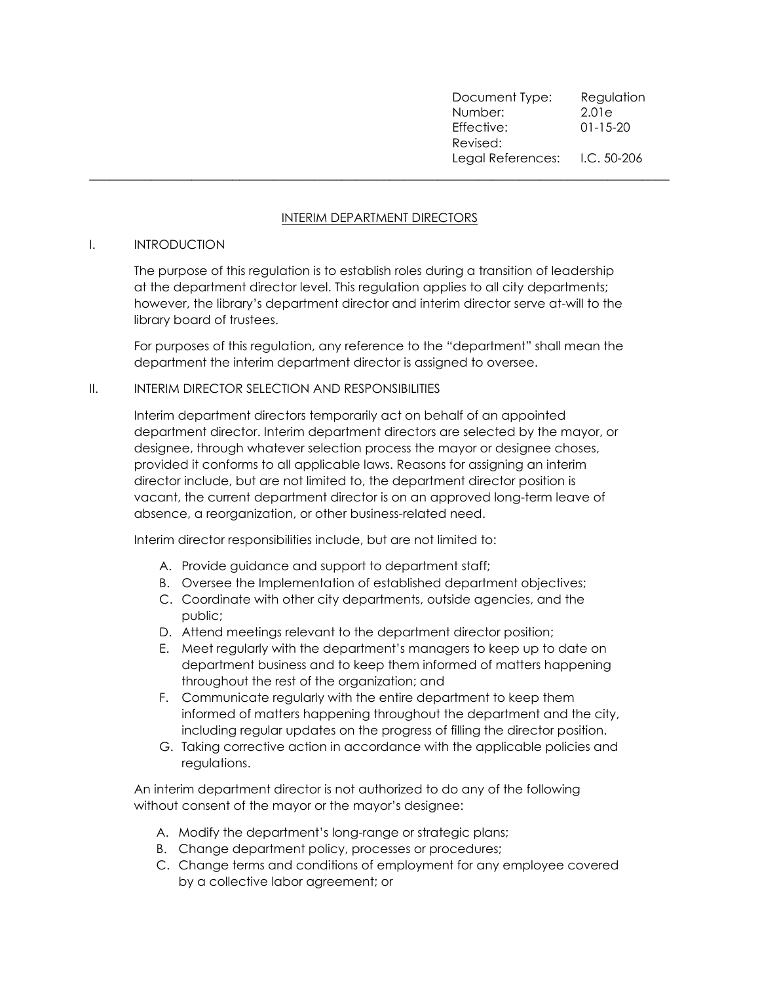| Document Type:                | Regulation     |
|-------------------------------|----------------|
| Number:                       | 2.01e          |
| Effective:                    | $01 - 15 - 20$ |
| Revised:                      |                |
| Legal References: I.C. 50-206 |                |

## INTERIM DEPARTMENT DIRECTORS

\_\_\_\_\_\_\_\_\_\_\_\_\_\_\_\_\_\_\_\_\_\_\_\_\_\_\_\_\_\_\_\_\_\_\_\_\_\_\_\_\_\_\_\_\_\_\_\_\_\_\_\_\_\_\_\_\_\_\_\_\_\_\_\_\_\_\_\_\_\_\_\_\_\_\_\_\_\_\_\_\_\_\_\_\_

## I. INTRODUCTION

The purpose of this regulation is to establish roles during a transition of leadership at the department director level. This regulation applies to all city departments; however, the library's department director and interim director serve at-will to the library board of trustees.

For purposes of this regulation, any reference to the "department" shall mean the department the interim department director is assigned to oversee.

## II. INTERIM DIRECTOR SELECTION AND RESPONSIBILITIES

Interim department directors temporarily act on behalf of an appointed department director. Interim department directors are selected by the mayor, or designee, through whatever selection process the mayor or designee choses, provided it conforms to all applicable laws. Reasons for assigning an interim director include, but are not limited to, the department director position is vacant, the current department director is on an approved long-term leave of absence, a reorganization, or other business-related need.

Interim director responsibilities include, but are not limited to:

- A. Provide guidance and support to department staff;
- B. Oversee the Implementation of established department objectives;
- C. Coordinate with other city departments, outside agencies, and the public;
- D. Attend meetings relevant to the department director position;
- E. Meet regularly with the department's managers to keep up to date on department business and to keep them informed of matters happening throughout the rest of the organization; and
- F. Communicate regularly with the entire department to keep them informed of matters happening throughout the department and the city, including regular updates on the progress of filling the director position.
- G. Taking corrective action in accordance with the applicable policies and regulations.

An interim department director is not authorized to do any of the following without consent of the mayor or the mayor's designee:

- A. Modify the department's long-range or strategic plans;
- B. Change department policy, processes or procedures;
- C. Change terms and conditions of employment for any employee covered by a collective labor agreement; or